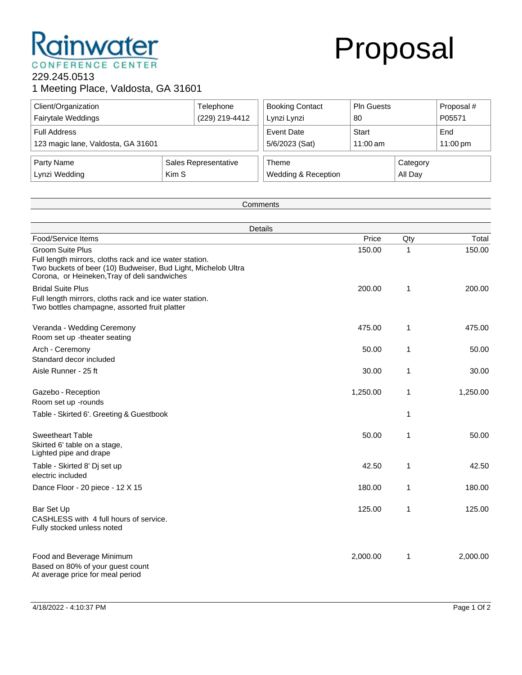## Rainwater **CONFERENCE CENTER**

## Proposal

## 229.245.0513 1 Meeting Place, Valdosta, GA 31601

| Client/Organization<br>Fairytale Weddings                 |       | Telephone<br>(229) 219-4412 | <b>Booking Contact</b><br>Lynzi Lynzi | <b>PIn Guests</b><br>80 |                     | Proposal #<br>P05571      |
|-----------------------------------------------------------|-------|-----------------------------|---------------------------------------|-------------------------|---------------------|---------------------------|
| <b>Full Address</b><br>123 magic lane, Valdosta, GA 31601 |       |                             | <b>Event Date</b><br>5/6/2023 (Sat)   | Start<br>$11:00$ am     |                     | End<br>$11:00 \text{ pm}$ |
| Party Name<br>Lynzi Wedding                               | Kim S | Sales Representative        | Theme<br>Wedding & Reception          |                         | Category<br>All Day |                           |

Comments

| Details                                                                                                                                                                                             |          |     |          |  |  |
|-----------------------------------------------------------------------------------------------------------------------------------------------------------------------------------------------------|----------|-----|----------|--|--|
| Food/Service Items                                                                                                                                                                                  | Price    | Qty | Total    |  |  |
| <b>Groom Suite Plus</b><br>Full length mirrors, cloths rack and ice water station.<br>Two buckets of beer (10) Budweiser, Bud Light, Michelob Ultra<br>Corona, or Heineken, Tray of deli sandwiches | 150.00   | 1   | 150.00   |  |  |
| <b>Bridal Suite Plus</b><br>Full length mirrors, cloths rack and ice water station.<br>Two bottles champagne, assorted fruit platter                                                                | 200.00   | 1   | 200.00   |  |  |
| Veranda - Wedding Ceremony<br>Room set up -theater seating                                                                                                                                          | 475.00   | 1   | 475.00   |  |  |
| Arch - Ceremony<br>Standard decor included                                                                                                                                                          | 50.00    | 1   | 50.00    |  |  |
| Aisle Runner - 25 ft                                                                                                                                                                                | 30.00    | 1   | 30.00    |  |  |
| Gazebo - Reception<br>Room set up -rounds                                                                                                                                                           | 1,250.00 | 1   | 1,250.00 |  |  |
| Table - Skirted 6'. Greeting & Guestbook                                                                                                                                                            |          | 1   |          |  |  |
| <b>Sweetheart Table</b><br>Skirted 6' table on a stage,<br>Lighted pipe and drape                                                                                                                   | 50.00    | 1   | 50.00    |  |  |
| Table - Skirted 8' Dj set up<br>electric included                                                                                                                                                   | 42.50    | 1   | 42.50    |  |  |
| Dance Floor - 20 piece - 12 X 15                                                                                                                                                                    | 180.00   | 1   | 180.00   |  |  |
| Bar Set Up<br>CASHLESS with 4 full hours of service.<br>Fully stocked unless noted                                                                                                                  | 125.00   | 1   | 125.00   |  |  |
| Food and Beverage Minimum<br>Based on 80% of your guest count                                                                                                                                       | 2,000.00 | 1   | 2,000.00 |  |  |

At average price for meal period